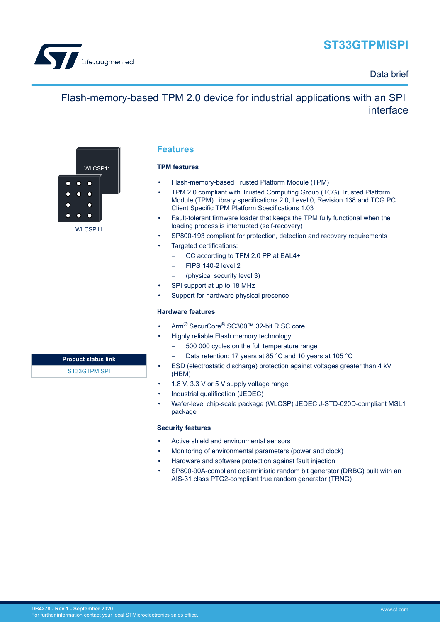

# **ST33GTPMISPI**

### Data brief

# Flash-memory-based TPM 2.0 device for industrial applications with an SPI interface



WLCSP<sub>11</sub>

## **Product status link**

[ST33GTPMISPI](https://www.st.com/en/product/st33gtpmispi?ecmp=tt9470_gl_link_feb2019&rt=db&id=DB4278)

### **Features**

#### **TPM features**

- Flash-memory-based Trusted Platform Module (TPM)
- TPM 2.0 compliant with Trusted Computing Group (TCG) Trusted Platform Module (TPM) Library specifications 2.0, Level 0, Revision 138 and TCG PC Client Specific TPM Platform Specifications 1.03
- Fault-tolerant firmware loader that keeps the TPM fully functional when the loading process is interrupted (self-recovery)
- SP800-193 compliant for protection, detection and recovery requirements
- Targeted certifications:
	- CC according to TPM 2.0 PP at EAL4+
	- FIPS 140-2 level 2
	- (physical security level 3)
- SPI support at up to 18 MHz
- Support for hardware physical presence

#### **Hardware features**

- Arm® SecurCore® SC300™ 32-bit RISC core
- Highly reliable Flash memory technology:
	- 500 000 cycles on the full temperature range
	- Data retention: 17 years at 85 °C and 10 years at 105 °C
- ESD (electrostatic discharge) protection against voltages greater than 4 kV (HBM)
- 1.8 V, 3.3 V or 5 V supply voltage range
- Industrial qualification (JEDEC)
- Wafer-level chip-scale package (WLCSP) JEDEC J-STD-020D-compliant MSL1 package

#### **Security features**

- Active shield and environmental sensors
- Monitoring of environmental parameters (power and clock)
- Hardware and software protection against fault injection
- SP800-90A-compliant deterministic random bit generator (DRBG) built with an AIS-31 class PTG2-compliant true random generator (TRNG)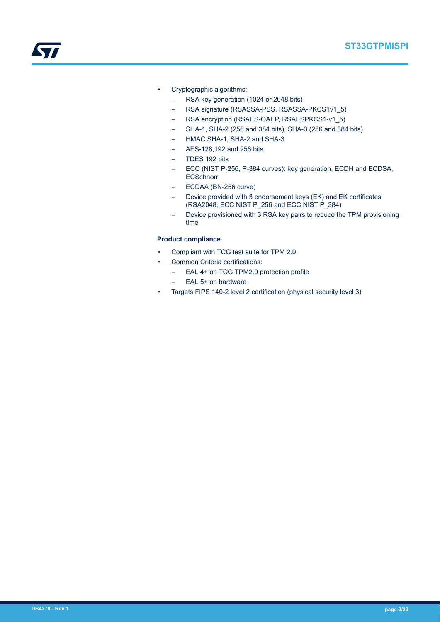- Cryptographic algorithms:
	- RSA key generation (1024 or 2048 bits)
	- RSA signature (RSASSA-PSS, RSASSA-PKCS1v1\_5)
	- RSA encryption (RSAES-OAEP, RSAESPKCS1-v1\_5)
	- SHA-1, SHA-2 (256 and 384 bits), SHA-3 (256 and 384 bits)
	- HMAC SHA-1, SHA-2 and SHA-3
	- AES-128,192 and 256 bits
	- TDES 192 bits
	- ECC (NIST P-256, P-384 curves): key generation, ECDH and ECDSA, **ECSchnorr**
	- ECDAA (BN-256 curve)
	- Device provided with 3 endorsement keys (EK) and EK certificates (RSA2048, ECC NIST P\_256 and ECC NIST P\_384)
	- Device provisioned with 3 RSA key pairs to reduce the TPM provisioning time

#### **Product compliance**

- Compliant with TCG test suite for TPM 2.0
- Common Criteria certifications:
	- EAL 4+ on TCG TPM2.0 protection profile
	- EAL 5+ on hardware
- Targets FIPS 140-2 level 2 certification (physical security level 3)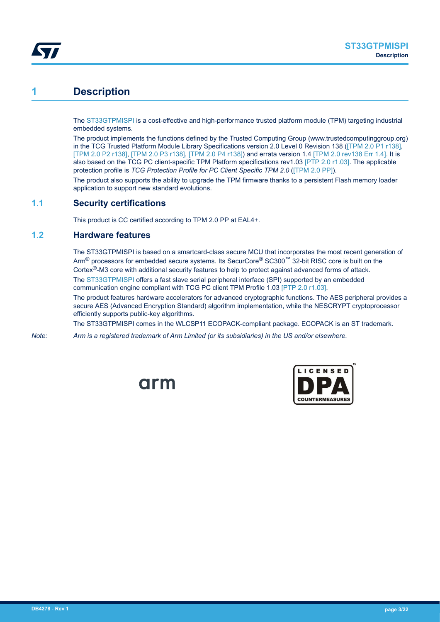<span id="page-2-0"></span>

## **1 Description**

The [ST33GTPMISPI](https://www.st.com/en/product/st33gtpmispi?ecmp=tt9470_gl_link_feb2019&rt=db&id=DB4278) is a cost-effective and high-performance trusted platform module (TPM) targeting industrial embedded systems.

The product implements the functions defined by the Trusted Computing Group (www.trustedcomputinggroup.org) in the TCG Trusted Platform Module Library Specifications version 2.0 Level 0 Revision 138 ([\[TPM 2.0 P1 r138\],](#page-16-0) [\[TPM 2.0 P2 r138\]](#page-16-0), [\[TPM 2.0 P3 r138\]](#page-16-0), [\[TPM 2.0 P4 r138\]](#page-16-0)) and errata version 1.4 [\[TPM 2.0 rev138 Err 1.4\]](#page-16-0). It is also based on the TCG PC client-specific TPM Platform specifications rev1.03 [\[PTP 2.0 r1.03\].](#page-16-0) The applicable protection profile is *TCG Protection Profile for PC Client Specific TPM 2.0* ([\[TPM 2.0 PP\]](#page-16-0)).

The product also supports the ability to upgrade the TPM firmware thanks to a persistent Flash memory loader application to support new standard evolutions.

### **1.1 Security certifications**

This product is CC certified according to TPM 2.0 PP at EAL4+.

#### **1.2 Hardware features**

The ST33GTPMISPI is based on a smartcard-class secure MCU that incorporates the most recent generation of Arm® processors for embedded secure systems. Its SecurCore® SC300™ 32-bit RISC core is built on the Cortex®-M3 core with additional security features to help to protect against advanced forms of attack.

The [ST33GTPMISPI](https://www.st.com/en/product/st33gtpmispi?ecmp=tt9470_gl_link_feb2019&rt=db&id=DB4278) offers a fast slave serial peripheral interface (SPI) supported by an embedded communication engine compliant with TCG PC client TPM Profile 1.03 [\[PTP 2.0 r1.03\]](#page-16-0).

The product features hardware accelerators for advanced cryptographic functions. The AES peripheral provides a secure AES (Advanced Encryption Standard) algorithm implementation, while the NESCRYPT cryptoprocessor efficiently supports public-key algorithms.

The ST33GTPMISPI comes in the WLCSP11 ECOPACK-compliant package. ECOPACK is an ST trademark.

*Note: Arm is a registered trademark of Arm Limited (or its subsidiaries) in the US and/or elsewhere.*



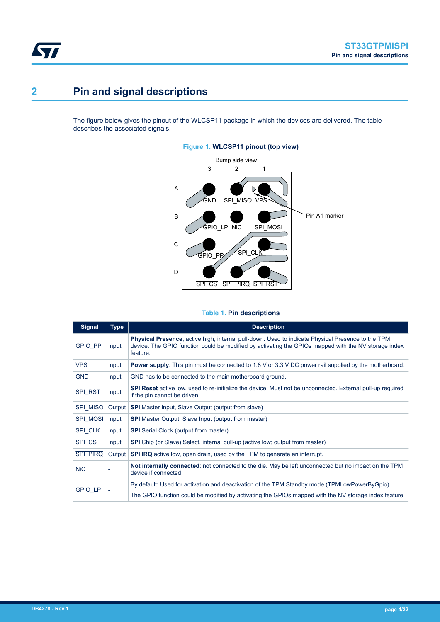<span id="page-3-0"></span>

# **2 Pin and signal descriptions**

The figure below gives the pinout of the WLCSP11 package in which the devices are delivered. The table describes the associated signals.

#### **Figure 1. WLCSP11 pinout (top view)**



#### **Table 1. Pin descriptions**

| <b>Signal</b>   | <b>Type</b> | <b>Description</b>                                                                                                                                                                                                            |
|-----------------|-------------|-------------------------------------------------------------------------------------------------------------------------------------------------------------------------------------------------------------------------------|
| <b>GPIO PP</b>  | Input       | <b>Physical Presence</b> , active high, internal pull-down. Used to indicate Physical Presence to the TPM<br>device. The GPIO function could be modified by activating the GPIOs mapped with the NV storage index<br>feature. |
| <b>VPS</b>      | Input       | <b>Power supply</b> . This pin must be connected to 1.8 V or 3.3 V DC power rail supplied by the motherboard.                                                                                                                 |
| <b>GND</b>      | Input       | GND has to be connected to the main motherboard ground.                                                                                                                                                                       |
| <b>SPI RST</b>  | Input       | <b>SPI Reset</b> active low, used to re-initialize the device. Must not be unconnected. External pull-up required<br>if the pin cannot be driven.                                                                             |
| SPI MISO        | Output      | <b>SPI</b> Master Input, Slave Output (output from slave)                                                                                                                                                                     |
| <b>SPI MOSI</b> | Input       | <b>SPI</b> Master Output, Slave Input (output from master)                                                                                                                                                                    |
| SPI CLK         | Input       | <b>SPI</b> Serial Clock (output from master)                                                                                                                                                                                  |
| <b>SPI CS</b>   | Input       | <b>SPI</b> Chip (or Slave) Select, internal pull-up (active low; output from master)                                                                                                                                          |
| <b>SPI PIRQ</b> | Output      | <b>SPI IRQ</b> active low, open drain, used by the TPM to generate an interrupt.                                                                                                                                              |
| <b>NiC</b>      |             | Not internally connected: not connected to the die. May be left unconnected but no impact on the TPM<br>device if connected.                                                                                                  |
| GPIO_LP         |             | By default: Used for activation and deactivation of the TPM Standby mode (TPMLowPowerByGpio).                                                                                                                                 |
|                 |             | The GPIO function could be modified by activating the GPIOs mapped with the NV storage index feature.                                                                                                                         |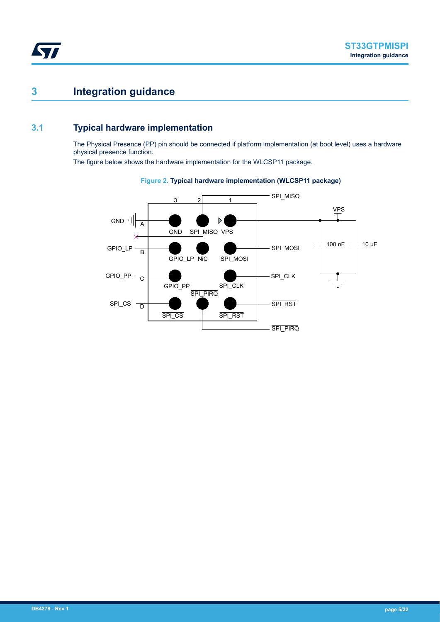## <span id="page-4-0"></span>**3 Integration guidance**

### **3.1 Typical hardware implementation**

The Physical Presence (PP) pin should be connected if platform implementation (at boot level) uses a hardware physical presence function.

The figure below shows the hardware implementation for the WLCSP11 package.



#### **Figure 2. Typical hardware implementation (WLCSP11 package)**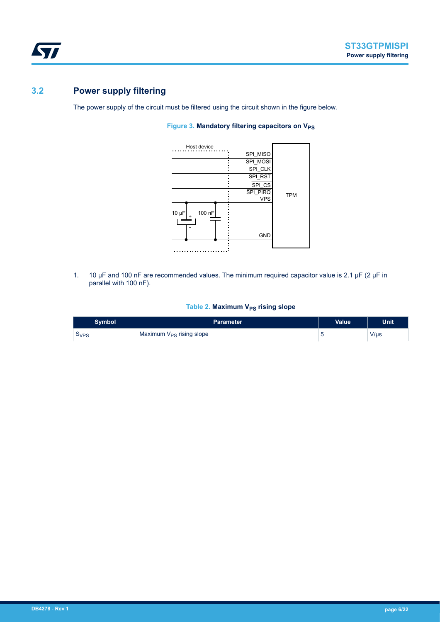<span id="page-5-0"></span>

## **3.2 Power supply filtering**

The power supply of the circuit must be filtered using the circuit shown in the figure below.

#### **Figure 3. Mandatory filtering capacitors on V<sub>PS</sub>**



1. 10 µF and 100 nF are recommended values. The minimum required capacitor value is 2.1 µF (2 µF in parallel with 100 nF).

#### **Table 2. Maximum V<sub>PS</sub> rising slope**

| <b>Symbol</b> | <b>Parameter</b>                     | <b>Value</b> | <b>Unit</b> |
|---------------|--------------------------------------|--------------|-------------|
| 5VPS          | Maximum V <sub>PS</sub> rising slope |              | $V/$ us     |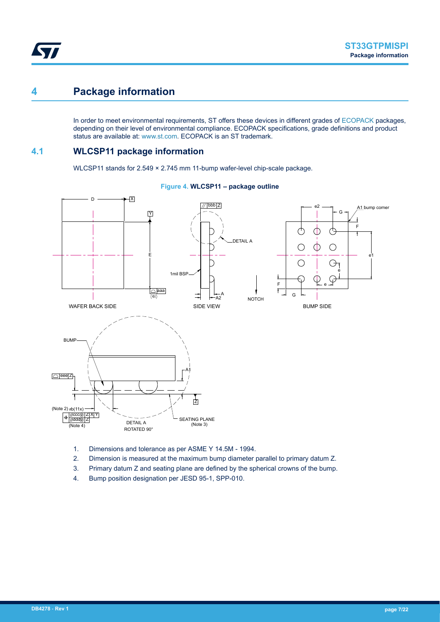## <span id="page-6-0"></span>**4 Package information**

In order to meet environmental requirements, ST offers these devices in different grades of [ECOPACK](https://www.st.com/ecopack) packages, depending on their level of environmental compliance. ECOPACK specifications, grade definitions and product status are available at: [www.st.com.](http://www.st.com) ECOPACK is an ST trademark.

### **4.1 WLCSP11 package information**

WLCSP11 stands for 2.549 × 2.745 mm 11-bump wafer-level chip-scale package.



#### **Figure 4. WLCSP11 – package outline**

- 1. Dimensions and tolerance as per ASME Y 14.5M 1994.
- 2. Dimension is measured at the maximum bump diameter parallel to primary datum Z.
- 3. Primary datum Z and seating plane are defined by the spherical crowns of the bump.
- 4. Bump position designation per JESD 95-1, SPP-010.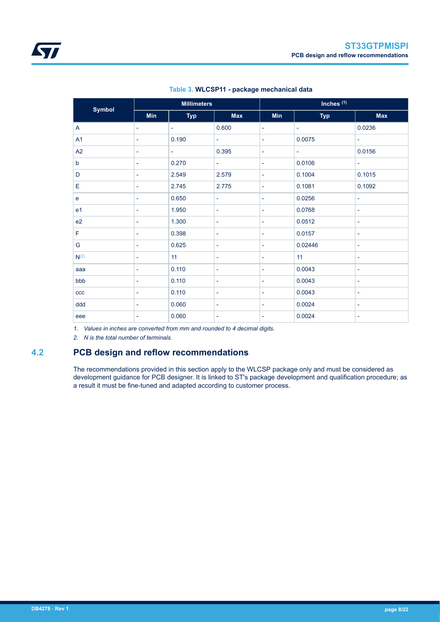<span id="page-7-0"></span>

| <b>Symbol</b>    |                          | <b>Millimeters</b> |                          | Inches <sup>(1)</sup>    |                          |                          |  |
|------------------|--------------------------|--------------------|--------------------------|--------------------------|--------------------------|--------------------------|--|
|                  | <b>Min</b>               | <b>Typ</b>         | <b>Max</b>               | <b>Min</b>               | <b>Typ</b>               | <b>Max</b>               |  |
| A                | $\overline{\phantom{a}}$ | -                  | 0.600                    | $\overline{\phantom{a}}$ | $\overline{\phantom{a}}$ | 0.0236                   |  |
| A1               | $\overline{\phantom{a}}$ | 0.190              | $\overline{\phantom{a}}$ | $\overline{\phantom{a}}$ | 0.0075                   | $\overline{\phantom{a}}$ |  |
| A2               | ۰                        | -                  | 0.395                    | $\overline{\phantom{a}}$ | ٠                        | 0.0156                   |  |
| b                | $\overline{\phantom{a}}$ | 0.270              | $\overline{\phantom{a}}$ | $\overline{\phantom{a}}$ | 0.0106                   | $\overline{\phantom{a}}$ |  |
| D                | $\overline{\phantom{a}}$ | 2.549              | 2.579                    | $\overline{\phantom{a}}$ | 0.1004                   | 0.1015                   |  |
| Е                | $\overline{\phantom{a}}$ | 2.745              | 2.775                    | $\overline{\phantom{a}}$ | 0.1081                   | 0.1092                   |  |
| e                | $\overline{\phantom{a}}$ | 0.650              | $\overline{\phantom{a}}$ | $\overline{\phantom{a}}$ | 0.0256                   | $\overline{\phantom{a}}$ |  |
| e <sub>1</sub>   | $\overline{\phantom{a}}$ | 1.950              | $\overline{\phantom{a}}$ | $\overline{\phantom{a}}$ | 0.0768                   | $\overline{\phantom{a}}$ |  |
| e2               | $\overline{\phantom{a}}$ | 1.300              | $\overline{\phantom{a}}$ | $\overline{\phantom{a}}$ | 0.0512                   | $\overline{\phantom{a}}$ |  |
| F                | $\overline{\phantom{a}}$ | 0.398              | $\overline{\phantom{a}}$ | $\overline{\phantom{a}}$ | 0.0157                   | $\overline{\phantom{a}}$ |  |
| G                | $\overline{\phantom{a}}$ | 0.625              | $\overline{\phantom{a}}$ | $\overline{\phantom{a}}$ | 0.02446                  | $\overline{\phantom{a}}$ |  |
| N <sup>(2)</sup> | $\overline{\phantom{a}}$ | 11                 | ۰                        | $\overline{\phantom{a}}$ | 11                       | $\overline{\phantom{a}}$ |  |
| aaa              | $\overline{\phantom{a}}$ | 0.110              | ۰                        | $\overline{\phantom{a}}$ | 0.0043                   | $\overline{\phantom{a}}$ |  |
| bbb              | $\overline{\phantom{a}}$ | 0.110              | $\overline{\phantom{a}}$ | $\overline{\phantom{a}}$ | 0.0043                   | $\overline{\phantom{a}}$ |  |
| ccc              | $\overline{\phantom{a}}$ | 0.110              | ۰                        | $\overline{\phantom{a}}$ | 0.0043                   | $\overline{\phantom{a}}$ |  |
| ddd              | $\overline{\phantom{a}}$ | 0.060              | ۰                        | $\overline{\phantom{a}}$ | 0.0024                   | ۰                        |  |
| eee              | $\overline{\phantom{a}}$ | 0.060              | ÷                        | $\overline{\phantom{a}}$ | 0.0024                   | $\overline{\phantom{a}}$ |  |

#### **Table 3. WLCSP11 - package mechanical data**

*1. Values in inches are converted from mm and rounded to 4 decimal digits.*

*2. N is the total number of terminals.*

## **4.2 PCB design and reflow recommendations**

The recommendations provided in this section apply to the WLCSP package only and must be considered as development guidance for PCB designer. It is linked to ST's package development and qualification procedure; as a result it must be fine-tuned and adapted according to customer process.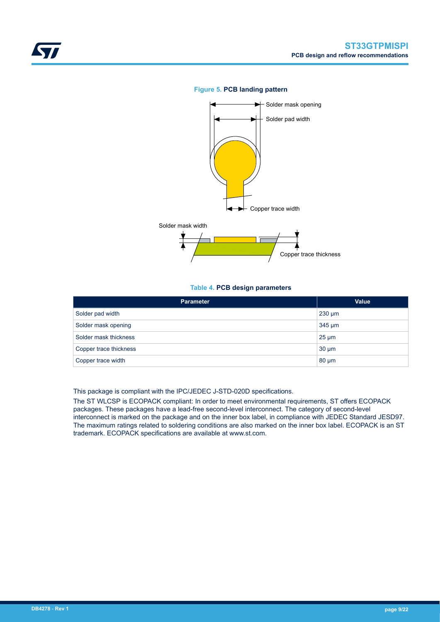<span id="page-8-0"></span>

#### **Figure 5. PCB landing pattern**



#### **Table 4. PCB design parameters**

| <b>Parameter</b>       | <b>Value</b> |
|------------------------|--------------|
| Solder pad width       | $230 \mu m$  |
| Solder mask opening    | $345 \mu m$  |
| Solder mask thickness  | $25 \mu m$   |
| Copper trace thickness | $30 \mu m$   |
| Copper trace width     | $80 \mu m$   |

This package is compliant with the IPC/JEDEC J-STD-020D specifications.

The ST WLCSP is ECOPACK compliant: In order to meet environmental requirements, ST offers ECOPACK packages. These packages have a lead-free second-level interconnect. The category of second-level interconnect is marked on the package and on the inner box label, in compliance with JEDEC Standard JESD97. The maximum ratings related to soldering conditions are also marked on the inner box label. ECOPACK is an ST trademark. ECOPACK specifications are available at www.st.com.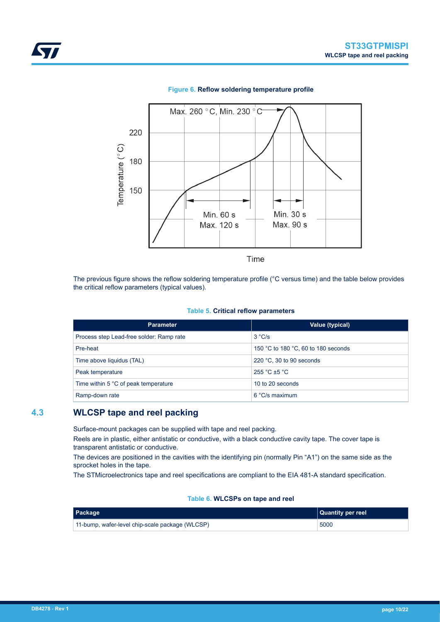<span id="page-9-0"></span>

#### **Figure 6. Reflow soldering temperature profile**

The previous figure shows the reflow soldering temperature profile (°C versus time) and the table below provides the critical reflow parameters (typical values).

#### **Table 5. Critical reflow parameters**

| <b>Parameter</b>                         | Value (typical)                     |
|------------------------------------------|-------------------------------------|
| Process step Lead-free solder: Ramp rate | 3 °C/s                              |
| Pre-heat                                 | 150 °C to 180 °C, 60 to 180 seconds |
| Time above liquidus (TAL)                | 220 $\degree$ C, 30 to 90 seconds   |
| Peak temperature                         | $255 °C + 5 °C$                     |
| Time within 5 °C of peak temperature     | 10 to 20 seconds                    |
| Ramp-down rate                           | $6 °C/s$ maximum                    |

### **4.3 WLCSP tape and reel packing**

Surface-mount packages can be supplied with tape and reel packing.

Reels are in plastic, either antistatic or conductive, with a black conductive cavity tape. The cover tape is transparent antistatic or conductive.

The devices are positioned in the cavities with the identifying pin (normally Pin "A1") on the same side as the sprocket holes in the tape.

The STMicroelectronics tape and reel specifications are compliant to the EIA 481-A standard specification.

#### **Table 6. WLCSPs on tape and reel**

| <b>Package</b>                                  | Quantity per reel |
|-------------------------------------------------|-------------------|
| 11-bump, wafer-level chip-scale package (WLCSP) | 5000              |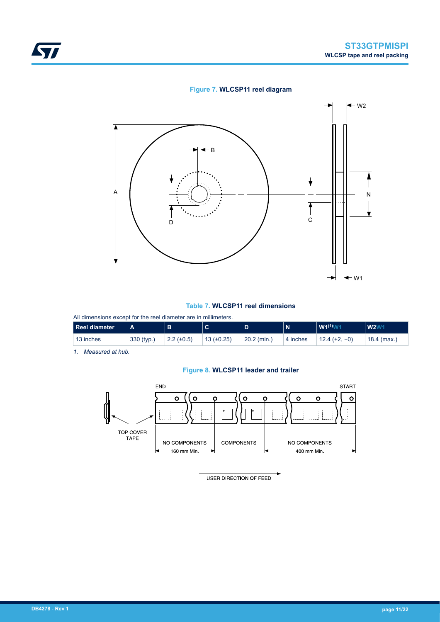#### **Figure 7. WLCSP11 reel diagram**



#### **Table 7. WLCSP11 reel dimensions**

All dimensions except for the reel diameter are in millimeters.

| Reel diameter |            |                   | $\sim$          |               | N        | $W1^{(1)}W$     | <b>W2W</b>  |
|---------------|------------|-------------------|-----------------|---------------|----------|-----------------|-------------|
| 13 inches     | 330 (typ.) | $2.2 \ (\pm 0.5)$ | 13 $(\pm 0.25)$ | $20.2$ (min.) | 4 inches | $12.4 (+2, -0)$ | 18.4 (max.) |

*1. Measured at hub.*

#### **Figure 8. WLCSP11 leader and trailer**



USER DIRECTION OF FEED

<span id="page-10-0"></span>ST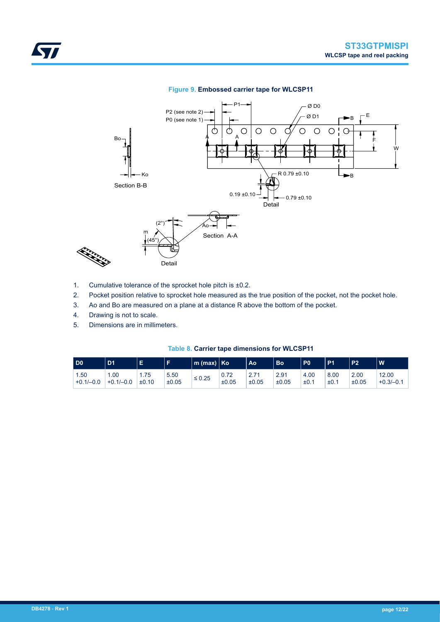#### **Figure 9. Embossed carrier tape for WLCSP11**

<span id="page-11-0"></span>

- 1. Cumulative tolerance of the sprocket hole pitch is ±0.2.
- 2. Pocket position relative to sprocket hole measured as the true position of the pocket, not the pocket hole.
- 3. Ao and Bo are measured on a plane at a distance R above the bottom of the pocket.
- 4. Drawing is not to scale.
- 5. Dimensions are in millimeters.

|  |  | Table 8. Carrier tape dimensions for WLCSP11 |  |  |
|--|--|----------------------------------------------|--|--|
|--|--|----------------------------------------------|--|--|

| D0          | D <sub>1</sub> |       |       | $\mathsf{Im}\;(\mathsf{max})\; \; \mathsf{K}\mathsf{o}$ |       | Ao    | <b>Bo</b> | P <sub>0</sub> | D <sub>1</sub> | <b>P2</b> | W           |
|-------------|----------------|-------|-------|---------------------------------------------------------|-------|-------|-----------|----------------|----------------|-----------|-------------|
| 1.50        | .00            | 1.75  | 5.50  | $\leq 0.25$                                             | 0.72  | 2.71  | 2.91      | 4.00           | 8.00           | 2.00      | 12.00       |
| $+0.1/-0.0$ | $+0.1/-0.0$    | ±0.10 | ±0.05 |                                                         | ±0.05 | ±0.05 | ±0.05     | ±0.            | ±0.1           | ±0.05     | $+0.3/-0.1$ |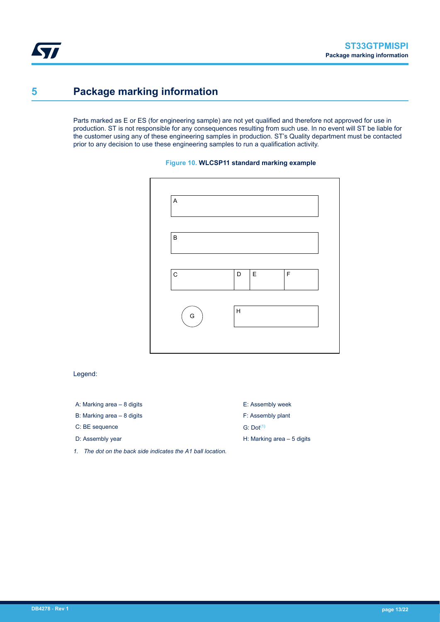<span id="page-12-0"></span>ST

## **5 Package marking information**

Parts marked as E or ES (for engineering sample) are not yet qualified and therefore not approved for use in production. ST is not responsible for any consequences resulting from such use. In no event will ST be liable for the customer using any of these engineering samples in production. ST's Quality department must be contacted prior to any decision to use these engineering samples to run a qualification activity.

#### **Figure 10. WLCSP11 standard marking example**



Legend:

- A: Marking area 8 digits E: Assembly week
- B: Marking area 8 digits F: Assembly plant
- $C: BE sequence$  G: Dot<sup>(1)</sup>
- 
- *1. The dot on the back side indicates the A1 ball location.*
- 
- 

D: Assembly year **H: Marking area – 5 digits**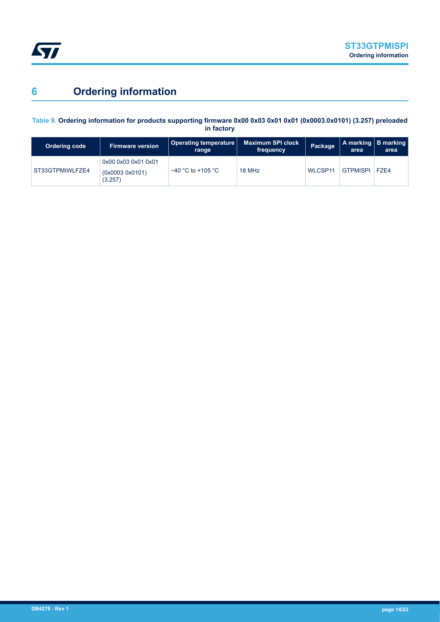<span id="page-13-0"></span>

# **6 Ordering information**

#### **Table 9. Ordering information for products supporting firmware 0x00 0x03 0x01 0x01 (0x0003.0x0101) (3.257) preloaded in factory**

| <b>Ordering code</b> | <b>Firmware version</b>                          | Operating temperature  <br>range | <b>Maximum SPI clock</b><br>frequency | Package        | area            | A marking B marking<br>area |
|----------------------|--------------------------------------------------|----------------------------------|---------------------------------------|----------------|-----------------|-----------------------------|
| ST33GTPMIWLFZE4      | 0x00 0x03 0x01 0x01<br>(0x00030x0101)<br>(3.257) | $-40$ °C to +105 °C              | 18 MHz                                | <b>WLCSP11</b> | <b>GTPMISPI</b> | <b>F7F4</b>                 |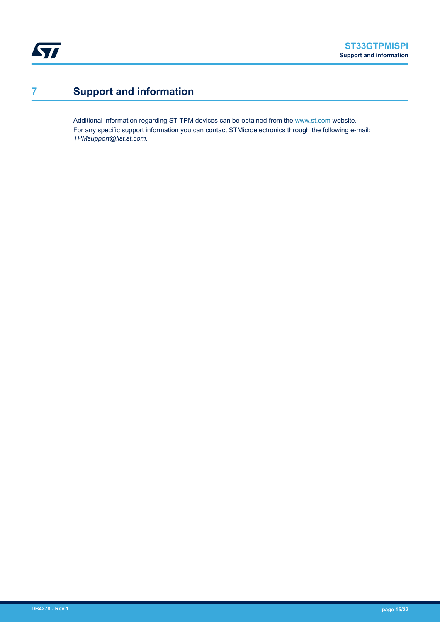<span id="page-14-0"></span>

# **7 Support and information**

Additional information regarding ST TPM devices can be obtained from the [www.st.com](http://www.st.com) website. For any specific support information you can contact STMicroelectronics through the following e-mail: *TPMsupport@list.st.com*.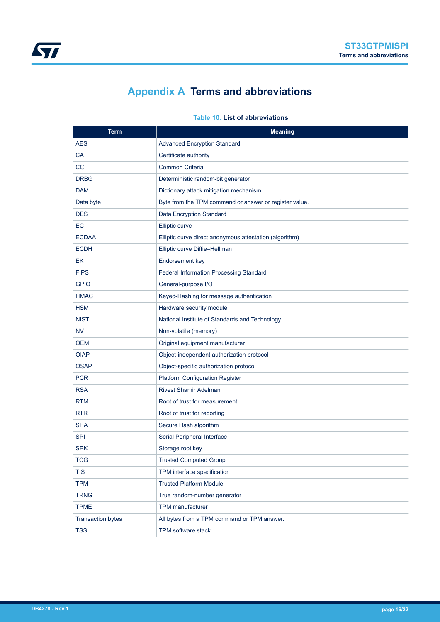# **Appendix A Terms and abbreviations**

<span id="page-15-0"></span>

| <b>Term</b>              | <b>Meaning</b>                                          |
|--------------------------|---------------------------------------------------------|
| <b>AES</b>               | <b>Advanced Encryption Standard</b>                     |
| СA                       | Certificate authority                                   |
| CС                       | Common Criteria                                         |
| <b>DRBG</b>              | Deterministic random-bit generator                      |
| <b>DAM</b>               | Dictionary attack mitigation mechanism                  |
| Data byte                | Byte from the TPM command or answer or register value.  |
| <b>DES</b>               | Data Encryption Standard                                |
| EC                       | <b>Elliptic curve</b>                                   |
| <b>ECDAA</b>             | Elliptic curve direct anonymous attestation (algorithm) |
| <b>ECDH</b>              | Elliptic curve Diffie-Hellman                           |
| EK                       | Endorsement key                                         |
| <b>FIPS</b>              | Federal Information Processing Standard                 |
| <b>GPIO</b>              | General-purpose I/O                                     |
| <b>HMAC</b>              | Keyed-Hashing for message authentication                |
| <b>HSM</b>               | Hardware security module                                |
| <b>NIST</b>              | National Institute of Standards and Technology          |
| <b>NV</b>                | Non-volatile (memory)                                   |
| <b>OEM</b>               | Original equipment manufacturer                         |
| <b>OIAP</b>              | Object-independent authorization protocol               |
| <b>OSAP</b>              | Object-specific authorization protocol                  |
| <b>PCR</b>               | <b>Platform Configuration Register</b>                  |
| <b>RSA</b>               | <b>Rivest Shamir Adelman</b>                            |
| <b>RTM</b>               | Root of trust for measurement                           |
| <b>RTR</b>               | Root of trust for reporting                             |
| <b>SHA</b>               | Secure Hash algorithm                                   |
| <b>SPI</b>               | Serial Peripheral Interface                             |
| <b>SRK</b>               | Storage root key                                        |
| <b>TCG</b>               | <b>Trusted Computed Group</b>                           |
| TIS                      | TPM interface specification                             |
| <b>TPM</b>               | <b>Trusted Platform Module</b>                          |
| <b>TRNG</b>              | True random-number generator                            |
| <b>TPME</b>              | <b>TPM</b> manufacturer                                 |
| <b>Transaction bytes</b> | All bytes from a TPM command or TPM answer.             |
| TSS                      | <b>TPM</b> software stack                               |

#### **Table 10. List of abbreviations**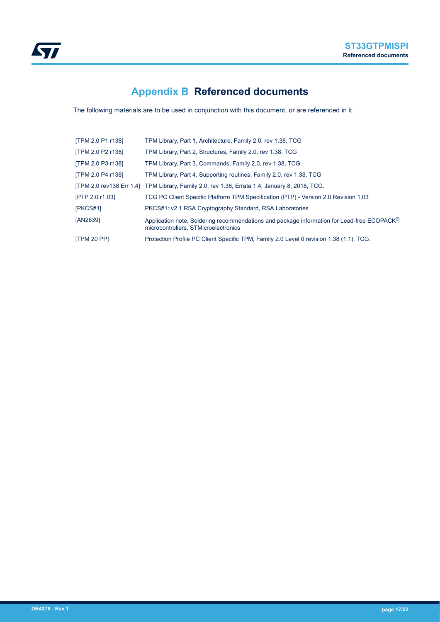<span id="page-16-0"></span>

# **Appendix B Referenced documents**

The following materials are to be used in conjunction with this document, or are referenced in it.

| [TPM 2.0 P1 r138] | TPM Library, Part 1, Architecture, Family 2.0, rev 1.38, TCG                                                                       |
|-------------------|------------------------------------------------------------------------------------------------------------------------------------|
| [TPM 2.0 P2 r138] | TPM Library, Part 2, Structures, Family 2.0, rev 1.38, TCG                                                                         |
| [TPM 2.0 P3 r138] | TPM Library, Part 3, Commands, Family 2.0, rev 1.38, TCG                                                                           |
| [TPM 2.0 P4 r138] | TPM Library, Part 4, Supporting routines, Family 2.0, rev 1.38, TCG                                                                |
|                   | [TPM 2.0 rev138 Err 1.4] TPM Library, Family 2.0, rev 1.38, Errata 1.4, January 8, 2018, TCG.                                      |
| [PTP 2.0 r1.03]   | TCG PC Client Specific Platform TPM Specification (PTP) - Version 2.0 Revision 1.03                                                |
| [PKCS#1]          | PKCS#1: v2.1 RSA Cryptography Standard, RSA Laboratories                                                                           |
| [AN2639]          | Application note, Soldering recommendations and package information for Lead-free ECOPACK®<br>microcontrollers. STMicroelectronics |
| [TPM 20 PP]       | Protection Profile PC Client Specific TPM, Family 2.0 Level 0 revision 1.38 (1.1), TCG.                                            |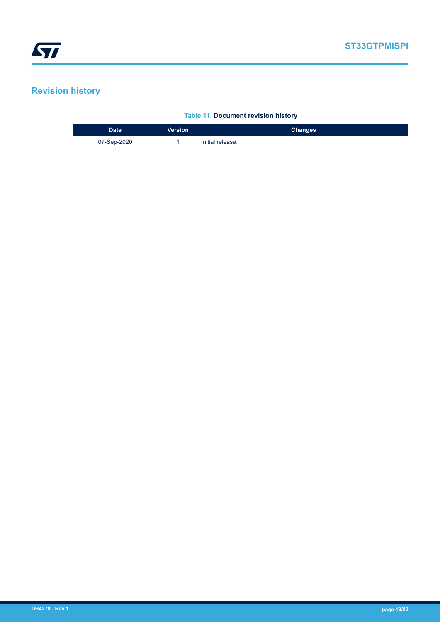# <span id="page-17-0"></span>**Revision history**

#### **Table 11. Document revision history**

| <b>Date</b> | <b>Version</b> | <b>Changes</b>   |
|-------------|----------------|------------------|
| 07-Sep-2020 |                | Initial release. |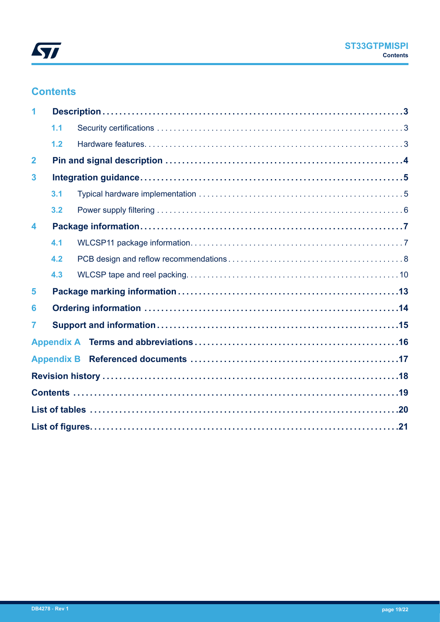

## **Contents**

|                         | 1.1               |  |
|-------------------------|-------------------|--|
|                         | 1.2               |  |
| $\mathbf{2}$            |                   |  |
| 3                       |                   |  |
|                         | 3.1               |  |
|                         | 3.2               |  |
| $\overline{\mathbf{4}}$ |                   |  |
|                         | 4.1               |  |
|                         | 4.2               |  |
|                         | 4.3               |  |
| 5                       |                   |  |
| 6                       |                   |  |
| 7                       |                   |  |
|                         |                   |  |
|                         | <b>Appendix B</b> |  |
|                         |                   |  |
|                         |                   |  |
|                         |                   |  |
|                         |                   |  |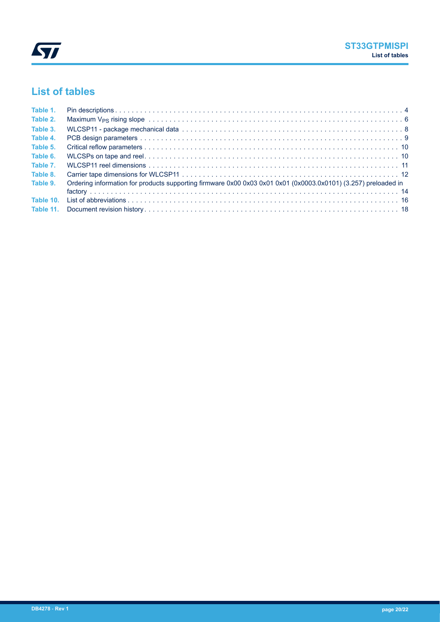<span id="page-19-0"></span>

# **List of tables**

| Table 1. |                                                                                                                |
|----------|----------------------------------------------------------------------------------------------------------------|
| Table 2. |                                                                                                                |
| Table 3. |                                                                                                                |
| Table 4. |                                                                                                                |
| Table 5. |                                                                                                                |
| Table 6. |                                                                                                                |
| Table 7. |                                                                                                                |
| Table 8. |                                                                                                                |
| Table 9. | Ordering information for products supporting firmware 0x00 0x03 0x01 0x01 (0x0003.0x0101) (3.257) preloaded in |
|          |                                                                                                                |
|          |                                                                                                                |
|          |                                                                                                                |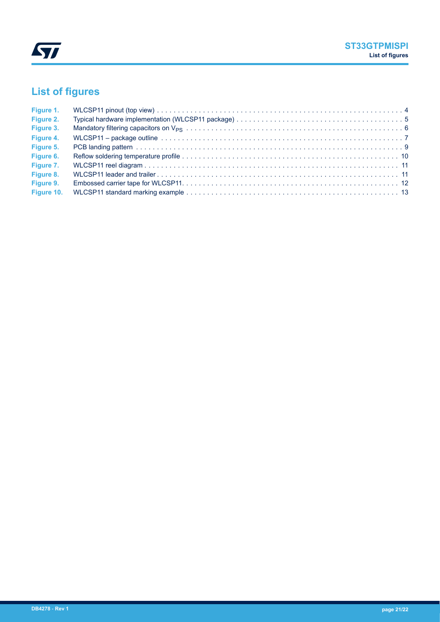<span id="page-20-0"></span>

# **List of figures**

| Figure 1.  |  |
|------------|--|
| Figure 2.  |  |
| Figure 3.  |  |
| Figure 4.  |  |
| Figure 5.  |  |
| Figure 6.  |  |
| Figure 7.  |  |
| Figure 8.  |  |
| Figure 9.  |  |
| Figure 10. |  |